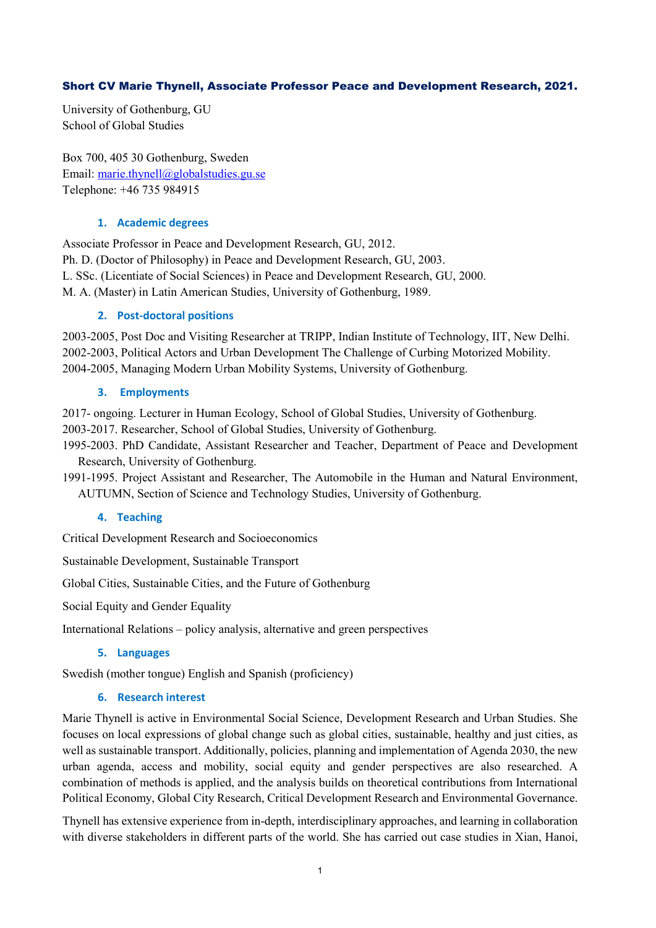# Short CV Marie Thynell, Associate Professor Peace and Development Research, 2021.

University of Gothenburg, GU School of Global Studies

Box 700, 405 30 Gothenburg, Sweden Email: [marie.thynell@globalstudies.gu.se](mailto:marie.thynell@globalstudies.gu.se) Telephone: +46 735 984915

## **1. Academic degrees**

Associate Professor in Peace and Development Research, GU, 2012. Ph. D. (Doctor of Philosophy) in Peace and Development Research, GU, 2003. L. SSc. (Licentiate of Social Sciences) in Peace and Development Research, GU, 2000. M. A. (Master) in Latin American Studies, University of Gothenburg, 1989.

# **2. Post-doctoral positions**

2003-2005, Post Doc and Visiting Researcher at TRIPP, Indian Institute of Technology, IIT, New Delhi. 2002-2003, Political Actors and Urban Development The Challenge of Curbing Motorized Mobility. 2004-2005, Managing Modern Urban Mobility Systems, University of Gothenburg.

# **3. Employments**

2017- ongoing. Lecturer in Human Ecology, School of Global Studies, University of Gothenburg.

2003-2017. Researcher, School of Global Studies, University of Gothenburg.

1995-2003. PhD Candidate, Assistant Researcher and Teacher, Department of Peace and Development Research, University of Gothenburg.

1991-1995. Project Assistant and Researcher, The Automobile in the Human and Natural Environment, AUTUMN, Section of Science and Technology Studies, University of Gothenburg.

# **4. Teaching**

Critical Development Research and Socioeconomics

Sustainable Development, Sustainable Transport

Global Cities, Sustainable Cities, and the Future of Gothenburg

Social Equity and Gender Equality

International Relations – policy analysis, alternative and green perspectives

## **5. Languages**

Swedish (mother tongue) English and Spanish (proficiency)

# **6. Research interest**

Marie Thynell is active in Environmental Social Science, Development Research and Urban Studies. She focuses on local expressions of global change such as global cities, sustainable, healthy and just cities, as well as sustainable transport. Additionally, policies, planning and implementation of Agenda 2030, the new urban agenda, access and mobility, social equity and gender perspectives are also researched. A combination of methods is applied, and the analysis builds on theoretical contributions from International Political Economy, Global City Research, Critical Development Research and Environmental Governance.

Thynell has extensive experience from in-depth, interdisciplinary approaches, and learning in collaboration with diverse stakeholders in different parts of the world. She has carried out case studies in Xian, Hanoi,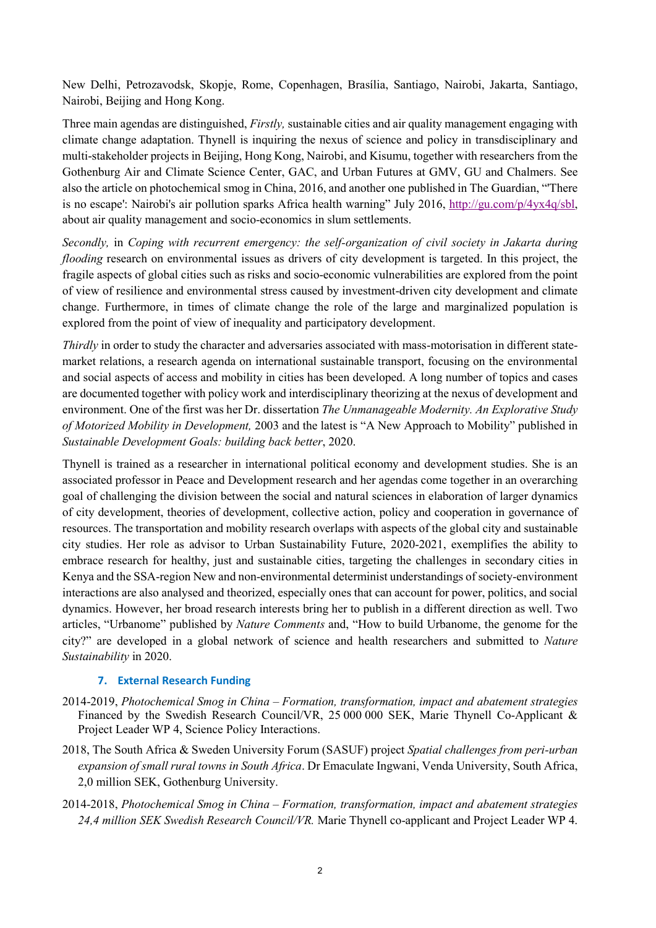New Delhi, Petrozavodsk, Skopje, Rome, Copenhagen, Brasília, Santiago, Nairobi, Jakarta, Santiago, Nairobi, Beijing and Hong Kong.

Three main agendas are distinguished, *Firstly,* sustainable cities and air quality management engaging with climate change adaptation. Thynell is inquiring the nexus of science and policy in transdisciplinary and multi-stakeholder projects in Beijing, Hong Kong, Nairobi, and Kisumu, together with researchers from the Gothenburg Air and Climate Science Center, GAC, and Urban Futures at GMV, GU and Chalmers. See also the article on photochemical smog in China, 2016, and another one published in The Guardian, "'There is no escape': Nairobi's air pollution sparks Africa health warning" July 2016, [http://gu.com/p/4yx4q/sbl,](http://gu.com/p/4yx4q/sbl) about air quality management and socio-economics in slum settlements.

*Secondly,* in *Coping with recurrent emergency: the self-organization of civil society in Jakarta during flooding* research on environmental issues as drivers of city development is targeted. In this project, the fragile aspects of global cities such as risks and socio-economic vulnerabilities are explored from the point of view of resilience and environmental stress caused by investment-driven city development and climate change. Furthermore, in times of climate change the role of the large and marginalized population is explored from the point of view of inequality and participatory development.

*Thirdly* in order to study the character and adversaries associated with mass-motorisation in different statemarket relations, a research agenda on international sustainable transport, focusing on the environmental and social aspects of access and mobility in cities has been developed. A long number of topics and cases are documented together with policy work and interdisciplinary theorizing at the nexus of development and environment. One of the first was her Dr. dissertation *The Unmanageable Modernity. An Explorative Study of Motorized Mobility in Development,* 2003 and the latest is "A New Approach to Mobility" published in *Sustainable Development Goals: building back better*, 2020.

Thynell is trained as a researcher in international political economy and development studies. She is an associated professor in Peace and Development research and her agendas come together in an overarching goal of challenging the division between the social and natural sciences in elaboration of larger dynamics of city development, theories of development, collective action, policy and cooperation in governance of resources. The transportation and mobility research overlaps with aspects of the global city and sustainable city studies. Her role as advisor to Urban Sustainability Future, 2020-2021, exemplifies the ability to embrace research for healthy, just and sustainable cities, targeting the challenges in secondary cities in Kenya and the SSA-region New and non-environmental determinist understandings of society-environment interactions are also analysed and theorized, especially ones that can account for power, politics, and social dynamics. However, her broad research interests bring her to publish in a different direction as well. Two articles, "Urbanome" published by *Nature Comments* and, "How to build Urbanome, the genome for the city?" are developed in a global network of science and health researchers and submitted to *Nature Sustainability* in 2020.

## **7. External Research Funding**

- 2014-2019, *Photochemical Smog in China – Formation, transformation, impact and abatement strategies* Financed by the Swedish Research Council/VR, 25 000 000 SEK, Marie Thynell Co-Applicant & Project Leader WP 4, Science Policy Interactions.
- 2018, The South Africa & Sweden University Forum (SASUF) project *Spatial challenges from peri-urban expansion of small rural towns in South Africa*. Dr Emaculate Ingwani, Venda University, South Africa, 2,0 million SEK, Gothenburg University.
- 2014-2018, *Photochemical Smog in China – Formation, transformation, impact and abatement strategies 24,4 million SEK Swedish Research Council/VR.* Marie Thynell co-applicant and Project Leader WP 4.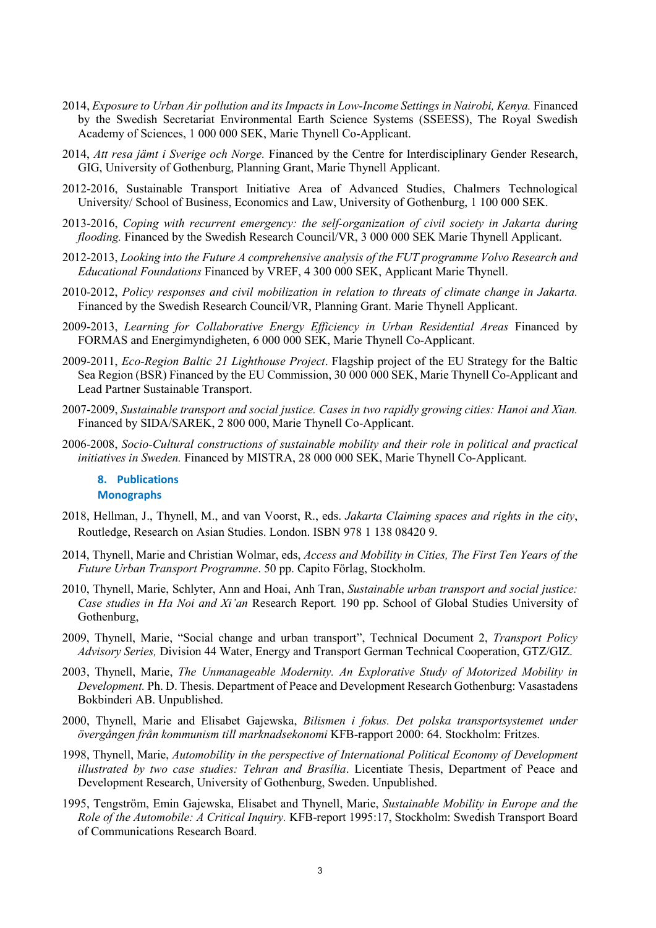- 2014, *Exposure to Urban Air pollution and its Impacts in Low-Income Settings in Nairobi, Kenya.* Financed by the Swedish Secretariat Environmental Earth Science Systems (SSEESS), The Royal Swedish Academy of Sciences, 1 000 000 SEK, Marie Thynell Co-Applicant.
- 2014, *Att resa jämt i Sverige och Norge.* Financed by the Centre for Interdisciplinary Gender Research, GIG, University of Gothenburg, Planning Grant, Marie Thynell Applicant.
- 2012-2016, Sustainable Transport Initiative Area of Advanced Studies, Chalmers Technological University/ School of Business, Economics and Law, University of Gothenburg, 1 100 000 SEK.
- 2013-2016, *Coping with recurrent emergency: the self-organization of civil society in Jakarta during flooding.* Financed by the Swedish Research Council/VR, 3 000 000 SEK Marie Thynell Applicant.
- 2012-2013, *Looking into the Future A comprehensive analysis of the FUT programme Volvo Research and Educational Foundations* Financed by VREF, 4 300 000 SEK, Applicant Marie Thynell.
- 2010-2012, *Policy responses and civil mobilization in relation to threats of climate change in Jakarta.*  Financed by the Swedish Research Council/VR, Planning Grant. Marie Thynell Applicant.
- 2009-2013, *Learning for Collaborative Energy Efficiency in Urban Residential Areas* Financed by FORMAS and Energimyndigheten, 6 000 000 SEK, Marie Thynell Co-Applicant.
- 2009-2011, *Eco-Region Baltic 21 Lighthouse Project*. Flagship project of the EU Strategy for the Baltic Sea Region (BSR) Financed by the EU Commission, 30 000 000 SEK, Marie Thynell Co-Applicant and Lead Partner Sustainable Transport.
- 2007-2009, *Sustainable transport and social justice. Cases in two rapidly growing cities: Hanoi and Xian.*  Financed by SIDA/SAREK, 2 800 000, Marie Thynell Co-Applicant.
- 2006-2008, *Socio-Cultural constructions of sustainable mobility and their role in political and practical initiatives in Sweden.* Financed by MISTRA, 28 000 000 SEK, Marie Thynell Co-Applicant.

## **8. Publications Monographs**

- 2018, Hellman, J., Thynell, M., and van Voorst, R., eds. *Jakarta Claiming spaces and rights in the city*, Routledge, Research on Asian Studies. London. ISBN 978 1 138 08420 9.
- 2014, Thynell, Marie and Christian Wolmar, eds, *Access and Mobility in Cities, The First Ten Years of the Future Urban Transport Programme*. 50 pp. Capito Förlag, Stockholm.
- 2010, Thynell, Marie, Schlyter, Ann and Hoai, Anh Tran, *Sustainable urban transport and social justice: Case studies in Ha Noi and Xi'an* Research Report*.* 190 pp. School of Global Studies University of Gothenburg,
- 2009, Thynell, Marie, "Social change and urban transport", Technical Document 2, *Transport Policy Advisory Series,* Division 44 Water, Energy and Transport German Technical Cooperation, GTZ/GIZ.
- 2003, Thynell, Marie, *The Unmanageable Modernity. An Explorative Study of Motorized Mobility in Development.* Ph. D. Thesis. Department of Peace and Development Research Gothenburg: Vasastadens Bokbinderi AB. Unpublished.
- 2000, Thynell, Marie and Elisabet Gajewska, *Bilismen i fokus. Det polska transportsystemet under övergången från kommunism till marknadsekonomi* KFB-rapport 2000: 64. Stockholm: Fritzes.
- 1998, Thynell, Marie, *Automobility in the perspective of International Political Economy of Development illustrated by two case studies: Tehran and Brasília*. Licentiate Thesis, Department of Peace and Development Research, University of Gothenburg, Sweden. Unpublished.
- 1995, Tengström, Emin Gajewska, Elisabet and Thynell, Marie, *Sustainable Mobility in Europe and the Role of the Automobile: A Critical Inquiry.* KFB-report 1995:17, Stockholm: Swedish Transport Board of Communications Research Board.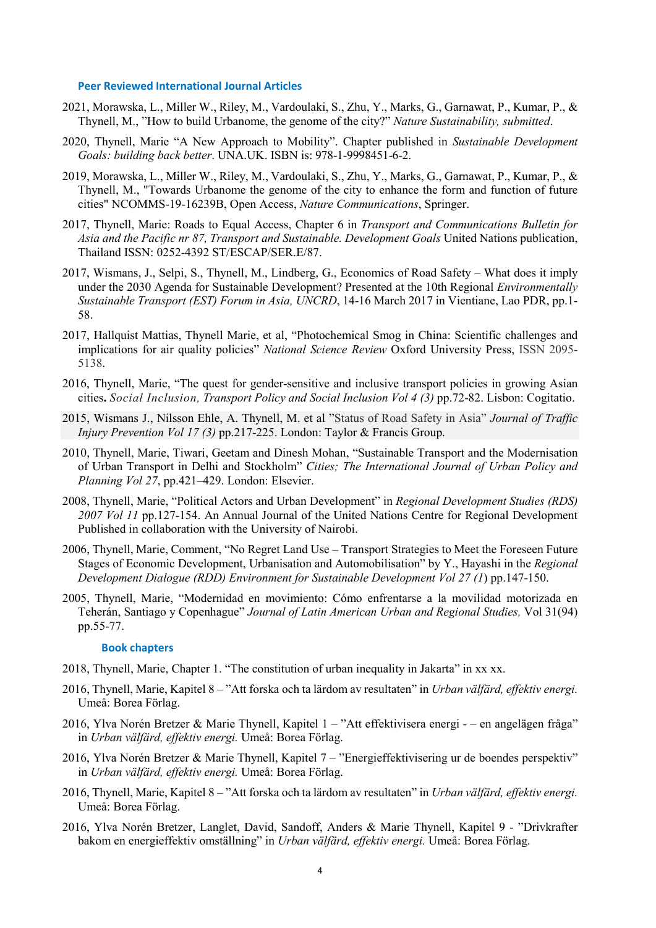#### **Peer Reviewed International Journal Articles**

- 2021, Morawska, L., Miller W., Riley, M., Vardoulaki, S., Zhu, Y., Marks, G., Garnawat, P., Kumar, P., & Thynell, M., "How to build Urbanome, the genome of the city?" *Nature Sustainability, submitted*.
- 2020, Thynell, Marie "A New Approach to Mobility". Chapter published in *Sustainable Development Goals: building back better*. UNA.UK. ISBN is: 978-1-9998451-6-2.
- 2019, Morawska, L., Miller W., Riley, M., Vardoulaki, S., Zhu, Y., Marks, G., Garnawat, P., Kumar, P., & Thynell, M., "Towards Urbanome the genome of the city to enhance the form and function of future cities" NCOMMS-19-16239B, Open Access, *Nature Communications*, Springer.
- 2017, Thynell, Marie: Roads to Equal Access, Chapter 6 in *Transport and Communications Bulletin for Asia and the Pacific nr 87, Transport and Sustainable. Development Goals* United Nations publication, Thailand ISSN: 0252-4392 ST/ESCAP/SER.E/87.
- 2017, Wismans, J., Selpi, S., Thynell, M., Lindberg, G., [Economics of Road Safety –](https://gu-se-primo.hosted.exlibrisgroup.com/primo-explore/fulldisplay?docid=TN_swepuboai:research.chalmers.se:249589&context=PC&vid=46GUB_VU1&lang=sv_SE&search_scope=default_scope&adaptor=primo_central_multiple_fe&tab=default_tab&query=any,contains,2017%20wismans%20thynell%20selpi%20lindberg&sortby=rank) What does it imply [under the 2030 Agenda for Sustainable Development?](https://gu-se-primo.hosted.exlibrisgroup.com/primo-explore/fulldisplay?docid=TN_swepuboai:research.chalmers.se:249589&context=PC&vid=46GUB_VU1&lang=sv_SE&search_scope=default_scope&adaptor=primo_central_multiple_fe&tab=default_tab&query=any,contains,2017%20wismans%20thynell%20selpi%20lindberg&sortby=rank) Presented at the 10th Regional *Environmentally Sustainable Transport (EST) Forum in Asia, UNCRD*, 14-16 March 2017 in Vientiane, Lao PDR, pp.1- 58.
- 2017, Hallquist Mattias, Thynell Marie, et al, "Photochemical Smog in China: Scientific challenges and implications for air quality policies" *National Science Review* Oxford University Press, ISSN 2095- 5138.
- 2016, Thynell, Marie, "The quest for gender-sensitive and inclusive transport policies in growing Asian cities**.** *Social Inclusion, Transport Policy and Social Inclusion Vol 4 (3)* pp.72-82. Lisbon: Cogitatio.
- 2015, Wismans J., Nilsson Ehle, A. Thynell, M. et al "Status of Road Safety in Asia" *Journal of Traffic Injury Prevention Vol 17 (3)* pp.217-225. London: Taylor & Francis Group.
- 2010, Thynell, Marie, Tiwari, Geetam and Dinesh Mohan, "Sustainable Transport and the Modernisation of Urban Transport in Delhi and Stockholm" *Cities; The International Journal of Urban Policy and Planning Vol 27*, pp.421–429. London: Elsevier.
- 2008, Thynell, Marie, "Political Actors and Urban Development" in *Regional Development Studies (RDS) 2007 Vol 11* pp.127-154. An Annual Journal of the United Nations Centre for Regional Development Published in collaboration with the University of Nairobi.
- 2006, Thynell, Marie, Comment, "No Regret Land Use Transport Strategies to Meet the Foreseen Future Stages of Economic Development, Urbanisation and Automobilisation" by Y., Hayashi in the *Regional Development Dialogue (RDD) Environment for Sustainable Development Vol 27 (1*) pp.147-150.
- 2005, Thynell, Marie, "Modernidad en movimiento: Cómo enfrentarse a la movilidad motorizada en Teherán, Santiago y Copenhague" *Journal of Latin American Urban and Regional Studies,* Vol 31(94) pp.55-77.

### **Book chapters**

- 2018, Thynell, Marie, Chapter 1. "The constitution of urban inequality in Jakarta" in xx xx.
- 2016, Thynell, Marie, Kapitel 8 *–* "Att forska och ta lärdom av resultaten" in *Urban välfärd, effektiv energi.*  Umeå: Borea Förlag.
- 2016, Ylva Norén Bretzer & Marie Thynell, Kapitel 1 "Att effektivisera energi – en angelägen fråga" in *Urban välfärd, effektiv energi.* Umeå: Borea Förlag.
- 2016, Ylva Norén Bretzer & Marie Thynell, Kapitel 7 "Energieffektivisering ur de boendes perspektiv" in *Urban välfärd, effektiv energi.* Umeå: Borea Förlag.
- 2016, Thynell, Marie, Kapitel 8 *–* "Att forska och ta lärdom av resultaten" in *Urban välfärd, effektiv energi.*  Umeå: Borea Förlag.
- 2016, Ylva Norén Bretzer, Langlet, David, Sandoff, Anders & Marie Thynell, Kapitel 9 ‐ "Drivkrafter bakom en energieffektiv omställning" in *Urban välfärd, effektiv energi.* Umeå: Borea Förlag.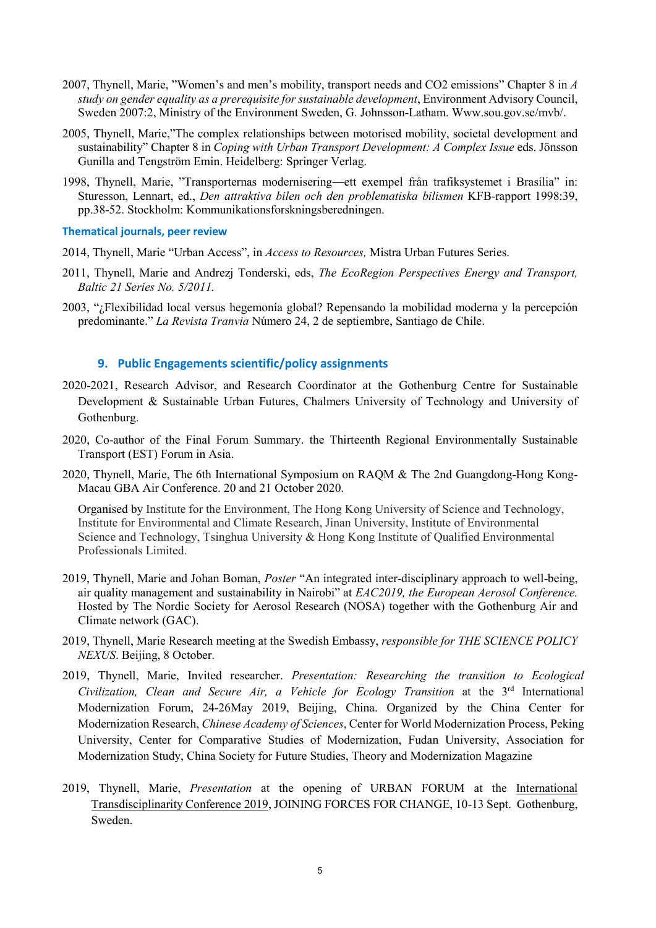- 2007, Thynell, Marie, "Women's and men's mobility, transport needs and CO2 emissions" Chapter 8 in *A study on gender equality as a prerequisite for sustainable development*, Environment Advisory Council, Sweden 2007:2, Ministry of the Environment Sweden, G. Johnsson-Latham. Www.sou.gov.se/mvb/.
- 2005, Thynell, Marie,"The complex relationships between motorised mobility, societal development and sustainability" Chapter 8 in *Coping with Urban Transport Development: A Complex Issue* eds. Jönsson Gunilla and Tengström Emin. Heidelberg: Springer Verlag.
- 1998, Thynell, Marie, "Transporternas modernisering―ett exempel från trafiksystemet i Brasília" in: Sturesson, Lennart, ed., *Den attraktiva bilen och den problematiska bilismen* KFB-rapport 1998:39, pp.38-52. Stockholm: Kommunikationsforskningsberedningen.

### **Thematical journals, peer review**

2014, Thynell, Marie "Urban Access", in *Access to Resources,* Mistra Urban Futures Series.

- 2011, Thynell, Marie and Andrezj Tonderski, eds, *The EcoRegion Perspectives Energy and Transport, Baltic 21 Series No. 5/2011.*
- 2003, "¿Flexibilidad local versus hegemonía global? Repensando la mobilidad moderna y la percepción predominante." *La Revista Tranvia* Número 24, 2 de septiembre, Santiago de Chile.

### **9. Public Engagements scientific/policy assignments**

- 2020-2021, Research Advisor, and Research Coordinator at the Gothenburg Centre for Sustainable Development & Sustainable Urban Futures, Chalmers University of Technology and University of Gothenburg.
- 2020, Co-author of the Final Forum Summary. the Thirteenth Regional Environmentally Sustainable Transport (EST) Forum in Asia.
- 2020, Thynell, Marie, The 6th International Symposium on RAQM & The 2nd Guangdong-Hong Kong-Macau GBA Air Conference. 20 and 21 October 2020.

Organised by Institute for the Environment, The Hong Kong University of Science and Technology, Institute for Environmental and Climate Research, Jinan University, Institute of Environmental Science and Technology, Tsinghua University & Hong Kong Institute of Qualified Environmental Professionals Limited.

- 2019, Thynell, Marie and Johan Boman, *Poster* "An integrated inter-disciplinary approach to well-being, air quality management and sustainability in Nairobi" at *EAC2019, the European Aerosol Conference.* Hosted by The Nordic Society for Aerosol Research (NOSA) together with the Gothenburg Air and Climate network (GAC).
- 2019, Thynell, Marie Research meeting at the Swedish Embassy, *responsible for THE SCIENCE POLICY NEXUS*. Beijing, 8 October.
- 2019, Thynell, Marie, Invited researcher. *Presentation: Researching the transition to Ecological Civilization, Clean and Secure Air, a Vehicle for Ecology Transition* at the 3rd International Modernization Forum, 24-26May 2019, Beijing, China. Organized by the China Center for Modernization Research, *Chinese Academy of Sciences*, Center for World Modernization Process, Peking University, Center for Comparative Studies of Modernization, Fudan University, Association for Modernization Study, China Society for Future Studies, Theory and Modernization Magazine
- 2019, Thynell, Marie, *Presentation* at the opening of URBAN FORUM at the [International](http://www.transdisciplinarity.ch/itd2019) [Transdisciplinarity](http://www.transdisciplinarity.ch/itd2019) Conference 2019, JOINING FORCES FOR CHANGE, 10-13 Sept. Gothenburg, Sweden.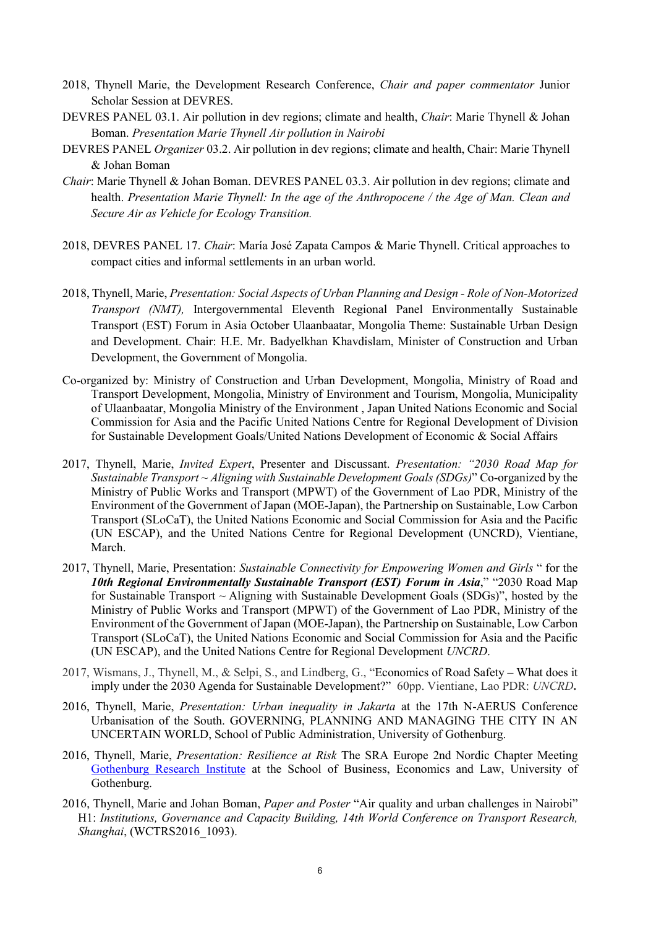- 2018, Thynell Marie, the Development Research Conference, *Chair and paper commentator* Junior Scholar Session at DEVRES.
- DEVRES PANEL 03.1. Air pollution in dev regions; climate and health, *Chair*: Marie Thynell & Johan Boman. *Presentation Marie Thynell Air pollution in Nairobi*
- DEVRES PANEL *Organizer* 03.2. Air pollution in dev regions; climate and health, Chair: Marie Thynell & Johan Boman
- *Chair*: Marie Thynell & Johan Boman. DEVRES PANEL 03.3. Air pollution in dev regions; climate and health. *Presentation Marie Thynell: In the age of the Anthropocene / the Age of Man. Clean and Secure Air as Vehicle for Ecology Transition.*
- 2018, DEVRES PANEL 17. *Chair*: María José Zapata Campos & Marie Thynell. Critical approaches to compact cities and informal settlements in an urban world.
- 2018, Thynell, Marie, *Presentation: Social Aspects of Urban Planning and Design - Role of Non-Motorized Transport (NMT),* Intergovernmental Eleventh Regional Panel Environmentally Sustainable Transport (EST) Forum in Asia October Ulaanbaatar, Mongolia Theme: Sustainable Urban Design and Development. Chair: H.E. Mr. Badyelkhan Khavdislam, Minister of Construction and Urban Development, the Government of Mongolia.
- Co-organized by: Ministry of Construction and Urban Development, Mongolia, Ministry of Road and Transport Development, Mongolia, Ministry of Environment and Tourism, Mongolia, Municipality of Ulaanbaatar, Mongolia Ministry of the Environment , Japan United Nations Economic and Social Commission for Asia and the Pacific United Nations Centre for Regional Development of Division for Sustainable Development Goals/United Nations Development of Economic & Social Affairs
- 2017, Thynell, Marie, *Invited Expert*, Presenter and Discussant. *Presentation: "2030 Road Map for Sustainable Transport ~ Aligning with Sustainable Development Goals (SDGs)*" Co-organized by the Ministry of Public Works and Transport (MPWT) of the Government of Lao PDR, Ministry of the Environment of the Government of Japan (MOE-Japan), the Partnership on Sustainable, Low Carbon Transport (SLoCaT), the United Nations Economic and Social Commission for Asia and the Pacific (UN ESCAP), and the United Nations Centre for Regional Development (UNCRD), Vientiane, March.
- 2017, Thynell, Marie, Presentation: *Sustainable Connectivity for Empowering Women and Girls* " for the *10th Regional Environmentally Sustainable Transport (EST) Forum in Asia*," "2030 Road Map for Sustainable Transport  $\sim$  Aligning with Sustainable Development Goals (SDGs)", hosted by the Ministry of Public Works and Transport (MPWT) of the Government of Lao PDR, Ministry of the Environment of the Government of Japan (MOE-Japan), the Partnership on Sustainable, Low Carbon Transport (SLoCaT), the United Nations Economic and Social Commission for Asia and the Pacific (UN ESCAP), and the United Nations Centre for Regional Development *UNCRD*.
- 2017, Wismans, J., Thynell, M., & Selpi, S., and Lindberg, G., "Economics of Road Safety What does it imply under the 2030 Agenda for Sustainable Development?" 60pp. Vientiane, Lao PDR: *UNCRD***.**
- 2016, Thynell, Marie, *Presentation: Urban inequality in Jakarta* at the 17th N-AERUS Conference Urbanisation of the South. GOVERNING, PLANNING AND MANAGING THE CITY IN AN UNCERTAIN WORLD, School of Public Administration, University of Gothenburg.
- 2016, Thynell, Marie, *Presentation: Resilience at Risk* The SRA Europe 2nd Nordic Chapter Meeting [Gothenburg Research Institute](http://gri.gu.se/) at the School of Business, Economics and Law, University of Gothenburg.
- 2016, Thynell, Marie and Johan Boman, *Paper and Poster* "Air quality and urban challenges in Nairobi" H1: *Institutions, Governance and Capacity Building, 14th World Conference on Transport Research, Shanghai*, (WCTRS2016\_1093).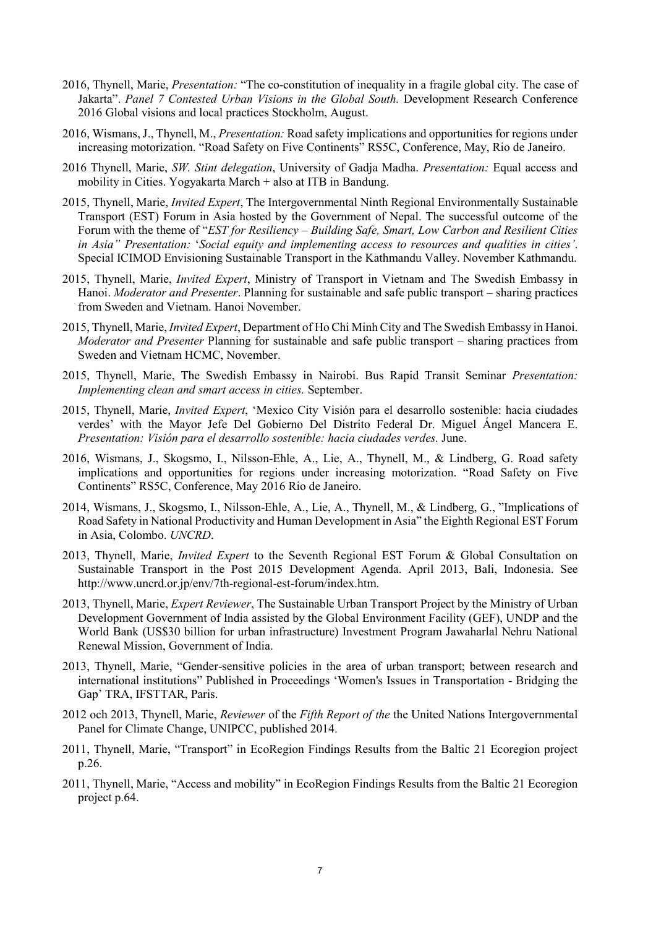- 2016, Thynell, Marie, *Presentation:* "The co-constitution of inequality in a fragile global city. The case of Jakarta". *Panel 7 Contested Urban Visions in the Global South.* Development Research Conference 2016 Global visions and local practices Stockholm, August.
- 2016, Wismans, J., Thynell, M., *Presentation:* Road safety implications and opportunities for regions under increasing motorization. "Road Safety on Five Continents" RS5C, Conference, May, Rio de Janeiro.
- 2016 Thynell, Marie, *SW. Stint delegation*, University of Gadja Madha. *Presentation:* Equal access and mobility in Cities. Yogyakarta March + also at ITB in Bandung.
- 2015, Thynell, Marie, *Invited Expert*, The Intergovernmental Ninth Regional Environmentally Sustainable Transport (EST) Forum in Asia hosted by the Government of Nepal. The successful outcome of the Forum with the theme of "*EST for Resiliency – Building Safe, Smart, Low Carbon and Resilient Cities in Asia" Presentation:* '*Social equity and implementing access to resources and qualities in cities'*. Special ICIMOD Envisioning Sustainable Transport in the Kathmandu Valley. November Kathmandu.
- 2015, Thynell, Marie, *Invited Expert*, Ministry of Transport in Vietnam and The Swedish Embassy in Hanoi. *Moderator and Presenter*. Planning for sustainable and safe public transport – sharing practices from Sweden and Vietnam. Hanoi November.
- 2015, Thynell, Marie, *Invited Expert*, Department of Ho Chi Minh City and The Swedish Embassy in Hanoi. *Moderator and Presenter* Planning for sustainable and safe public transport – sharing practices from Sweden and Vietnam HCMC, November.
- 2015, Thynell, Marie, The Swedish Embassy in Nairobi. Bus Rapid Transit Seminar *Presentation: Implementing clean and smart access in cities.* September.
- 2015, Thynell, Marie, *Invited Expert*, 'Mexico City Visión para el desarrollo sostenible: hacia ciudades verdes' with the Mayor Jefe Del Gobierno Del Distrito Federal Dr. Miguel Ángel Mancera E. *Presentation: Visión para el desarrollo sostenible: hacia ciudades verdes.* June.
- 2016, Wismans, J., Skogsmo, I., Nilsson-Ehle, A., Lie, A., Thynell, M., & Lindberg, G. Road safety implications and opportunities for regions under increasing motorization. "Road Safety on Five Continents" RS5C, Conference, May 2016 Rio de Janeiro.
- 2014, Wismans, J., Skogsmo, I., Nilsson-Ehle, A., Lie, A., Thynell, M., & Lindberg, G., "Implications of Road Safety in National Productivity and Human Development in Asia" the Eighth Regional EST Forum in Asia, Colombo. *UNCRD*.
- 2013, Thynell, Marie, *Invited Expert* to the Seventh Regional EST Forum & Global Consultation on Sustainable Transport in the Post 2015 Development Agenda. April 2013, Bali, Indonesia. See http://www.uncrd.or.jp/env/7th-regional-est-forum/index.htm.
- 2013, Thynell, Marie, *Expert Reviewer*, The Sustainable Urban Transport Project by the Ministry of Urban Development Government of India assisted by the Global Environment Facility (GEF), UNDP and the World Bank (US\$30 billion for urban infrastructure) Investment Program Jawaharlal Nehru National Renewal Mission, Government of India.
- 2013, Thynell, Marie, "Gender-sensitive policies in the area of urban transport; between research and international institutions" Published in Proceedings 'Women's Issues in Transportation - Bridging the Gap' TRA, IFSTTAR, Paris.
- 2012 och 2013, Thynell, Marie, *Reviewer* of the *Fifth Report of the* the United Nations Intergovernmental Panel for Climate Change, UNIPCC, published 2014.
- 2011, Thynell, Marie, "Transport" in EcoRegion Findings Results from the Baltic 21 Ecoregion project p.26.
- 2011, Thynell, Marie, "Access and mobility" in EcoRegion Findings Results from the Baltic 21 Ecoregion project p.64.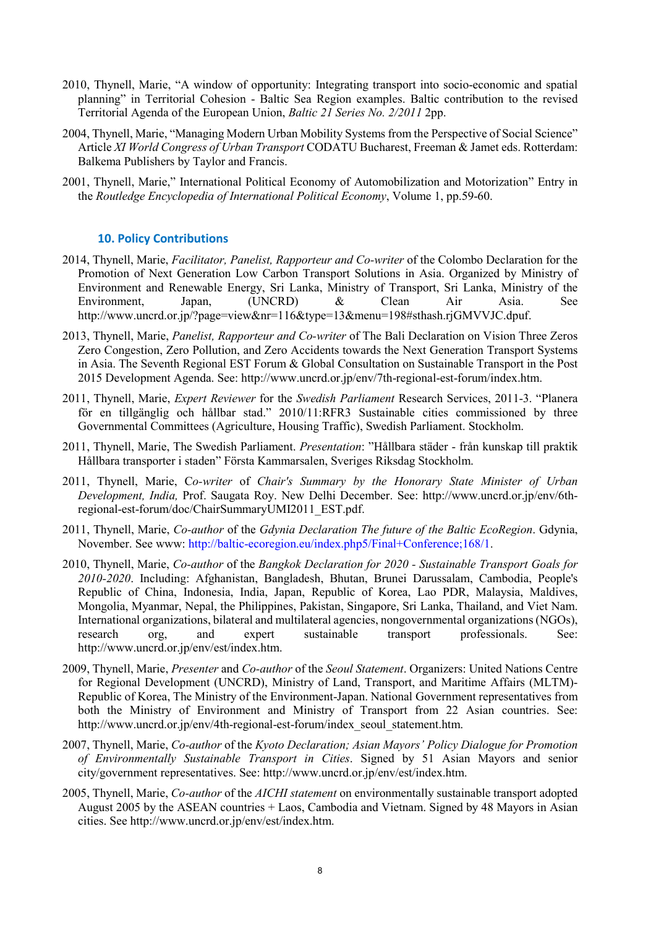- 2010, Thynell, Marie, "A window of opportunity: Integrating transport into socio-economic and spatial planning" in Territorial Cohesion - Baltic Sea Region examples. Baltic contribution to the revised Territorial Agenda of the European Union, *Baltic 21 Series No. 2/2011* 2pp.
- 2004, Thynell, Marie, "Managing Modern Urban Mobility Systems from the Perspective of Social Science" Article *XI World Congress of Urban Transport* CODATU Bucharest, Freeman & Jamet eds. Rotterdam: Balkema Publishers by Taylor and Francis.
- 2001, Thynell, Marie," International Political Economy of Automobilization and Motorization" Entry in the *Routledge Encyclopedia of International Political Economy*, Volume 1, pp.59-60.

## **10. Policy Contributions**

- 2014, Thynell, Marie, *Facilitator, Panelist, Rapporteur and Co-writer* of the Colombo Declaration for the Promotion of Next Generation Low Carbon Transport Solutions in Asia. Organized by [Ministry of](http://www.environmentmin.gov.lk/web/)  [Environment and Renewable Energy, Sri Lanka,](http://www.environmentmin.gov.lk/web/) [Ministry of Transport, Sri Lanka,](http://www.transport.gov.lk/) [Ministry of the](http://www.env.go.jp/en/)  [Environment, Japan,](http://www.env.go.jp/en/) (UNCRD) & Clean Air Asia. See [http://www.uncrd.or.jp/?page=view&nr=116&type=13&menu=198#sthash.rjGMVVJC.dpuf.](http://www.uncrd.or.jp/?page=view&nr=116&type=13&menu=198#sthash.rjGMVVJC.dpuf)
- 2013, Thynell, Marie, *Panelist, Rapporteur and Co-writer* of The Bali Declaration on Vision Three Zeros Zero Congestion, Zero Pollution, and Zero Accidents towards the Next Generation Transport Systems in Asia. The Seventh Regional EST Forum & Global Consultation on Sustainable Transport in the Post 2015 Development Agenda. See: [http://www.uncrd.or.jp/env/7th-regional-est-forum/index.htm.](http://www.uncrd.or.jp/env/7th-regional-est-forum/index.htm)
- 2011, Thynell, Marie, *Expert Reviewer* for the *Swedish Parliament* Research Services, 2011-3. "Planera för en tillgänglig och hållbar stad." [2010/11:RFR3 Sustainable cities](http://www.riksdagen.se/webbnav/?nid=3777&doktyp=rfr&dok_id=GY0WRFR3&rm=2010/11&bet=RFR3) commissioned by three Governmental Committees (Agriculture, Housing Traffic), Swedish Parliament. Stockholm.
- 2011, Thynell, Marie, The Swedish Parliament. *Presentation*: "Hållbara städer från kunskap till praktik Hållbara transporter i staden" Första Kammarsalen, Sveriges Riksdag Stockholm.
- 2011, Thynell, Marie, C*o-writer* of *Chair's Summary by the Honorary State Minister of Urban Development, India,* Prof. Saugata Roy. New Delhi December. See: [http://www.uncrd.or.jp/env/6th](http://www.uncrd.or.jp/env/6th-regional-est-forum/doc/ChairSummaryUMI2011_EST.pdf)[regional-est-forum/doc/ChairSummaryUMI2011\\_EST.pdf.](http://www.uncrd.or.jp/env/6th-regional-est-forum/doc/ChairSummaryUMI2011_EST.pdf)
- 2011, Thynell, Marie, *Co-author* of the *Gdynia Declaration The future of the Baltic EcoRegion*. Gdynia, November. See www: [http://baltic-ecoregion.eu/index.php5/Final+Conference;168/1.](http://baltic-ecoregion.eu/index.php5/Final+Conference;168/1)
- 2010, Thynell, Marie, *Co-author* of the *Bangkok Declaration for 2020 - Sustainable Transport Goals for 2010-2020*. Including: Afghanistan, Bangladesh, Bhutan, Brunei Darussalam, Cambodia, People's Republic of China, Indonesia, India, Japan, Republic of Korea, Lao PDR, Malaysia, Maldives, Mongolia, Myanmar, Nepal, the Philippines, Pakistan, Singapore, Sri Lanka, Thailand, and Viet Nam. International organizations, bilateral and multilateral agencies, nongovernmental organizations (NGOs), research org, and expert sustainable transport professionals. See: [http://www.uncrd.or.jp/env/est/index.htm.](http://www.uncrd.or.jp/env/est/index.htm)
- 2009, Thynell, Marie, *Presenter* and *Co-author* of the *Seoul Statement*. Organizers[: United Nations Centre](http://www.uncrd.or.jp/)  [for Regional Development \(UNCRD\),](http://www.uncrd.or.jp/) [Ministry of Land, Transport, and Maritime Affairs \(MLTM\)-](http://english.mltm.go.kr/intro.do) [Republic of Korea,](http://english.mltm.go.kr/intro.do) [The Ministry of the Environment-Japan.](http://www.env.go.jp/en/) National Government representatives from both the Ministry of Environment and Ministry of Transport from 22 Asian countries. See: [http://www.uncrd.or.jp/env/4th-regional-est-forum/index\\_seoul\\_statement.htm.](http://www.uncrd.or.jp/env/4th-regional-est-forum/index_seoul_statement.htm)
- 2007, Thynell, Marie, *Co-author* of the *Kyoto Declaration; Asian Mayors' Policy Dialogue for Promotion of Environmentally Sustainable Transport in Cities*. Signed by 51 Asian Mayors and senior city/government representatives. See: [http://www.uncrd.or.jp/env/est/index.htm.](http://www.uncrd.or.jp/env/est/index.htm)
- 2005, Thynell, Marie, *Co-author* of the *AICHI statement* on environmentally sustainable transport adopted August 2005 by the ASEAN countries + Laos, Cambodia and Vietnam. Signed by 48 Mayors in Asian cities. See [http://www.uncrd.or.jp/env/est/index.htm.](http://www.uncrd.or.jp/env/est/index.htm)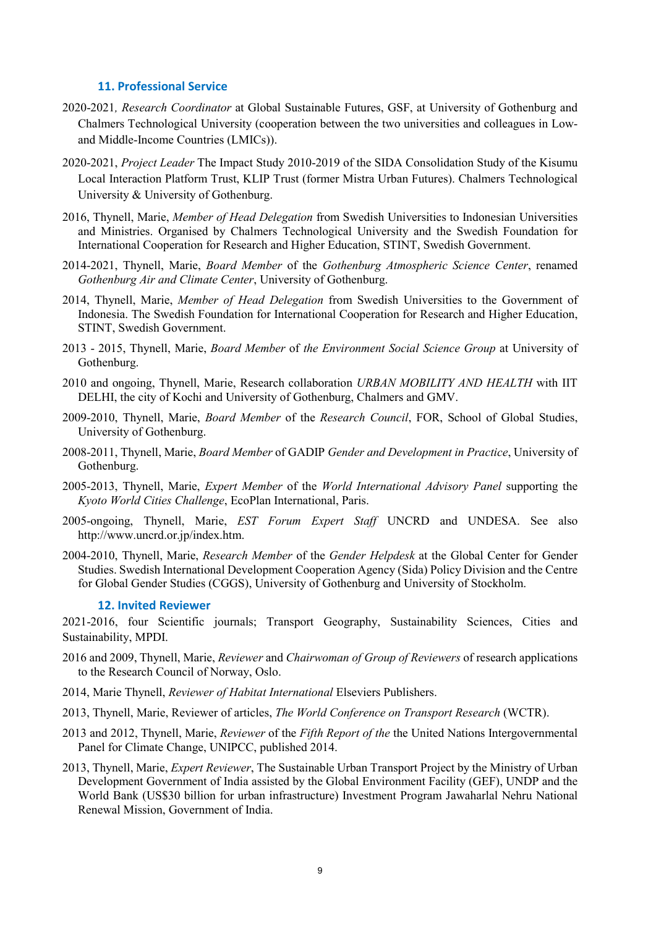### **11. Professional Service**

- 2020-2021*, Research Coordinator* at Global Sustainable Futures, GSF, at University of Gothenburg and Chalmers Technological University (cooperation between the two universities and colleagues in Lowand Middle-Income Countries (LMICs)).
- 2020-2021, *Project Leader* The Impact Study 2010-2019 of the SIDA Consolidation Study of the Kisumu Local Interaction Platform Trust, KLIP Trust (former Mistra Urban Futures). Chalmers Technological University & University of Gothenburg.
- 2016, Thynell, Marie, *Member of Head Delegation* from Swedish Universities to Indonesian Universities and Ministries. Organised by Chalmers Technological University and the Swedish Foundation for International Cooperation for Research and Higher Education, STINT, Swedish Government.
- 2014-2021, Thynell, Marie, *Board Member* of the *Gothenburg Atmospheric Science Center*, renamed *Gothenburg Air and Climate Center*, University of Gothenburg.
- 2014, Thynell, Marie, *Member of Head Delegation* from Swedish Universities to the Government of Indonesia. The Swedish Foundation for International Cooperation for Research and Higher Education, STINT, Swedish Government.
- 2013 2015, Thynell, Marie, *Board Member* of *the Environment Social Science Group* at University of Gothenburg.
- 2010 and ongoing, Thynell, Marie, Research collaboration *URBAN MOBILITY AND HEALTH* with IIT DELHI, the city of Kochi and University of Gothenburg, Chalmers and GMV.
- 2009-2010, Thynell, Marie, *Board Member* of the *Research Council*, FOR, School of Global Studies, University of Gothenburg.
- 2008-2011, Thynell, Marie, *Board Member* of GADIP *Gender and Development in Practice*, University of Gothenburg.
- 2005-2013, Thynell, Marie, *Expert Member* of the *World International Advisory Panel* supporting the *Kyoto World Cities Challenge*, EcoPlan International, Paris.
- 2005-ongoing, Thynell, Marie, *EST Forum Expert Staff* UNCRD and UNDESA. See also [http://www.uncrd.or.jp/index.htm.](http://www.uncrd.or.jp/index.htm)
- 2004-2010, Thynell, Marie, *Research Member* of the *Gender Helpdesk* at the Global Center for Gender Studies. Swedish International Development Cooperation Agency (Sida) Policy Division and the Centre for Global Gender Studies (CGGS), University of Gothenburg and University of Stockholm.

#### **12. Invited Reviewer**

2021-2016, four Scientific journals; Transport Geography, Sustainability Sciences, Cities and Sustainability, MPDI.

- 2016 and 2009, Thynell, Marie, *Reviewer* and *Chairwoman of Group of Reviewers* of research applications to the Research Council of Norway, Oslo.
- 2014, Marie Thynell, *Reviewer of Habitat International* Elseviers Publishers.
- 2013, Thynell, Marie, Reviewer of articles, *The World Conference on Transport Research* (WCTR).
- 2013 and 2012, Thynell, Marie, *Reviewer* of the *Fifth Report of the* the United Nations Intergovernmental Panel for Climate Change, UNIPCC, published 2014.
- 2013, Thynell, Marie, *Expert Reviewer*, The Sustainable Urban Transport Project by the Ministry of Urban Development Government of India assisted by the Global Environment Facility (GEF), UNDP and the World Bank (US\$30 billion for urban infrastructure) Investment Program Jawaharlal Nehru National Renewal Mission, Government of India.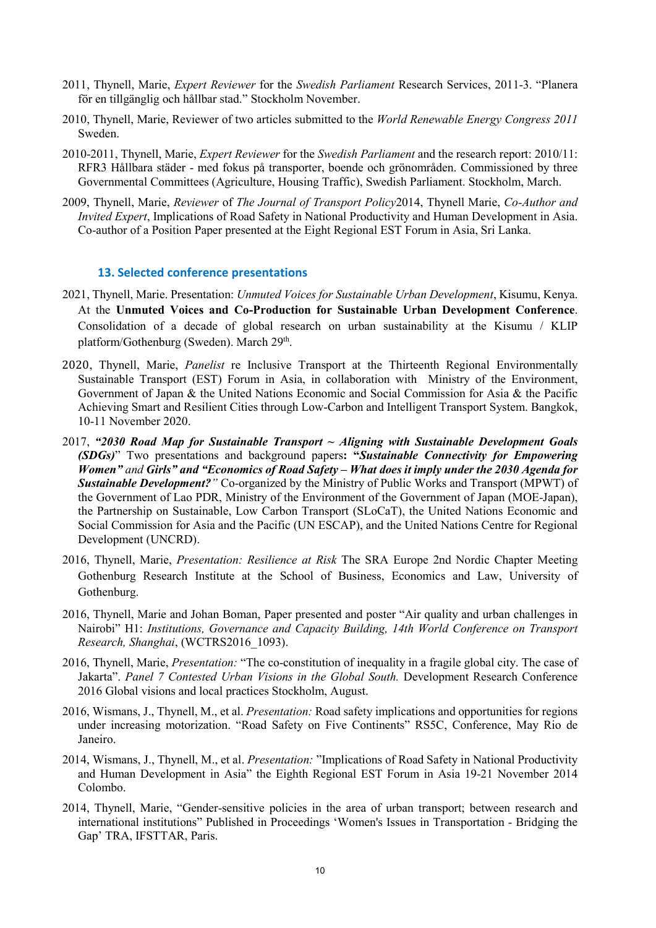- 2011, Thynell, Marie, *Expert Reviewer* for the *Swedish Parliament* Research Services, 2011-3. "Planera för en tillgänglig och hållbar stad." Stockholm November.
- 2010, Thynell, Marie, Reviewer of two articles submitted to the *World Renewable Energy Congress 2011* Sweden.
- 2010-2011, Thynell, Marie, *Expert Reviewer* for the *Swedish Parliament* and the research report: [2010/11:](http://www.riksdagen.se/webbnav/?nid=3777&doktyp=rfr&dok_id=GY0WRFR3&rm=2010/11&bet=RFR3) RFR3 Hållbara städer - [med fokus på transporter, boende och grönområden.](http://www.riksdagen.se/webbnav/?nid=3777&doktyp=rfr&dok_id=GY0WRFR3&rm=2010/11&bet=RFR3) Commissioned by three Governmental Committees (Agriculture, Housing Traffic), Swedish Parliament. Stockholm, March.
- 2009, Thynell, Marie, *Reviewer* of *The Journal of Transport Policy*2014, Thynell Marie, *Co-Author and Invited Expert*, Implications of Road Safety in National Productivity and Human Development in Asia. Co-author of a Position Paper presented at the Eight Regional EST Forum in Asia, Sri Lanka.

### **13. Selected conference presentations**

- 2021, Thynell, Marie. Presentation: *Unmuted Voices for Sustainable Urban Development*, Kisumu, Kenya. At the **Unmuted Voices and Co-Production for Sustainable Urban Development Conference**. Consolidation of a decade of global research on urban sustainability at the Kisumu / KLIP platform/Gothenburg (Sweden). March 29<sup>th</sup>.
- 2020, Thynell, Marie, *Panelist* re Inclusive Transport at the Thirteenth Regional Environmentally Sustainable Transport (EST) Forum in Asia, in collaboration with Ministry of the Environment, Government of Japan & the United Nations Economic and Social Commission for Asia & the Pacific Achieving Smart and Resilient Cities through Low-Carbon and Intelligent Transport System. Bangkok, 10-11 November 2020.
- 2017, *"2030 Road Map for Sustainable Transport ~ Aligning with Sustainable Development Goals (SDGs)*" Two presentations and background papers**: "***Sustainable Connectivity for Empowering Women" and Girls" and "Economics of Road Safety – What does it imply under the 2030 Agenda for Sustainable Development?"* Co-organized by the Ministry of Public Works and Transport (MPWT) of the Government of Lao PDR, Ministry of the Environment of the Government of Japan (MOE-Japan), the Partnership on Sustainable, Low Carbon Transport (SLoCaT), the United Nations Economic and Social Commission for Asia and the Pacific (UN ESCAP), and the United Nations Centre for Regional Development (UNCRD).
- 2016, Thynell, Marie, *Presentation: Resilience at Risk* The SRA Europe 2nd Nordic Chapter Meeting [Gothenburg Research Institute](http://gri.gu.se/) at the School of Business, Economics and Law, University of Gothenburg.
- 2016, Thynell, Marie and Johan Boman, Paper presented and poster "Air quality and urban challenges in Nairobi" H1: *Institutions, Governance and Capacity Building, 14th World Conference on Transport Research, Shanghai*, (WCTRS2016\_1093).
- 2016, Thynell, Marie, *Presentation:* "The co-constitution of inequality in a fragile global city. The case of Jakarta". *Panel 7 Contested Urban Visions in the Global South.* Development Research Conference 2016 Global visions and local practices Stockholm, August.
- 2016, Wismans, J., Thynell, M., et al. *Presentation:* Road safety implications and opportunities for regions under increasing motorization. "Road Safety on Five Continents" RS5C, Conference, May Rio de Janeiro.
- 2014, Wismans, J., Thynell, M., et al. *Presentation:* "Implications of Road Safety in National Productivity and Human Development in Asia" the Eighth Regional EST Forum in Asia 19-21 November 2014 Colombo.
- 2014, Thynell, Marie, "Gender-sensitive policies in the area of urban transport; between research and international institutions" Published in Proceedings 'Women's Issues in Transportation - Bridging the Gap' TRA, IFSTTAR, Paris.